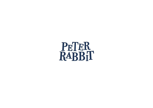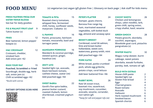# **FOOD MENU** (v) vegetarian (ve) vegan (gf) gluten free | Glossary on back page | Ask staff for kids menu

#### FRESH PASTRIES FROM OUR SISTER VENUE BLOOM

**See bar for daily goodies**

FIG & WALNUT FRUIT LOAF **9 Tahini butter (v)**

#### FRIES **12**

**Beer battered, lemon pepper kewpie (v)**

### H&C CROISSANT **12**

**Croissant, cheddar, smoked ham Add onion jam +\$2**

EGGS YOUR WAY **15 Poached, Scrambled or Fried Sourdough, double egg, herb salt, onion jam (v) Chilli scrambled eggs +\$2**

*\*Build with extras*

#### **DIETARY OPTIONS SCAN HERE**



# TOMATO & FETA **15**

**Roasted cherry tomatoes, whipped feta, fermented chilli, honey, sunflower seeds, marjoram. Ciabatta (v)**

#### IL PANINO **16**

**Panini, prosciutto, heirloom tomato, mozzarella, basil and tarragon pesto** 

MANDARIN PORRIDGE **16 Mandarin & coconut porridge, stewed quince, ginger, hazelnut (ve)**

#### ZESTY AVO **20**

**Seeded light rye, avocado, black heirloom tomato, cashew cheese, zaatar (ve) Add poached eggs +\$4**

#### SWEET BABKA **22**

**Gordi's five spice babka, peanut butter custard, roasted rhubarb, lemon shortbread, creamed yoghurt (v)**

### PETER'S PLATTER **24**

**Damper, goats chevre, Barossa free range leg ham, marinated seasonal vegetables, soft boiled duck egg, almond and caraway spice**

#### BENNY'S BREKKY **24**

**Cornbread, cured SA salmon, lime and brown butter hollandaise, sweet corn, watercress, granny smith, mint Add poached eggs +\$4**

#### PORK KATSU **24**

**White bread, panko crumbed pork, whole egg gribiche, potato crisps, coral lettuce Add beer battered fries +\$6** 

#### RABBIT BOWL **26**

**Raw SA ocean trout, basmati rice, sauerkraut, soy mushroom, cucumber, avocado, sesame, coriander, nori tahini (gf)**  *\*Swap for salt and pepper tofu (ve)*

## CHICKY SHOYU **26**

**Chicken and lemongrass shoyu, udon noodles, larb, green chilli, spring onion, crispy shallot, basil, sesame**

#### GREEN GNOCH 28

**Potato gnocchi, skordalia, zucchini, asparagus, Woodside goat curd, pistachio pangrattato (v)** 

#### WINTER WAGYU **32**

**Wagyu rump skewer, burnt cabbage, sweet potato skordalia, wasabi furikake, parsley, leek, tomato oil (gf)**

#### BUILD WITH EXTRAS

| House chilli paste           | 2 |
|------------------------------|---|
| Seeded light rye             | 3 |
| <b>Gluten free bread</b>     | 3 |
| Eggs                         | 4 |
| <b>Charred greens</b>        | 4 |
| Roast tomato                 | 5 |
| Avocado                      | 5 |
| Halloumi                     | 6 |
| <b>Herb roasted mushroom</b> | 6 |
| Smoked bacon                 | 6 |
| Spanish chorizo              | 6 |
|                              |   |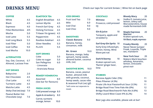## **DRINKS MENU** Check our taps for current brews | Wine list on back page

#### COFFEE

| White                    | 4.5  |
|--------------------------|------|
| <b>Black</b>             | 4.5  |
| <b>Espresso</b>          | 4.0  |
| <b>Filter/Bottomless</b> | 4/5  |
| Mocha                    | 5.0  |
| <b>Iced Latte</b>        | 5.5  |
| <b>Iced Long Black</b>   | 5.5  |
| <b>Iced Filter</b>       | 5.0  |
| <b>Iced Coffee</b>       | 9.0  |
| <b>Iced Mocha</b>        | 10.0 |

#### ALTERNATIVES

**Soy, Oat, Coconut, 0.7 Almond, Lactose Free**

#### HOT DRINKS

| <b>Babyccino</b>         | 2.0 |
|--------------------------|-----|
| <b>Hot Chocolate</b>     | 4.5 |
| Chai Latte               | 4.5 |
| <b>Turmeric Latte</b>    | 4.5 |
| Matcha Latte             | 4.5 |
| Sticky Chai (ve) (soy)   | 7.0 |
| <b>Peanut Butter Hot</b> |     |
| Chocolate (soy)          | 7.0 |

| <b>ELMSTOCK TEA</b>      |     |
|--------------------------|-----|
| <b>English Breakfast</b> | 4.5 |
| <b>Lemon Myrtle</b>      | 4.5 |
| <b>French Earl Grey</b>  | 4.5 |

**Oolong Formosa 4.5 Ti Kwan Yin (green) 4.5 Peppermint 4.5 Rooibos Kalahari 4.5 Silver Needles 5.5**

**Pu-Erh 5.5**

#### SOFT DRINKS

| Coke           | 5.0 |
|----------------|-----|
| Coke no sugar  | 5.0 |
| San Pellegrino | 6.0 |
| - Limonata     |     |

**- Aranciata Rossa**

#### REMEDY KOMBUCHA

**Assorted 8.0 (See bar for flavours)**

### FRESH JUICES

**Cold pressed orange 8.0 Apple & strawberry 8.0 Carrot, turmeric orange, lemon 10.0**

| <b>CED DRINK</b> |
|------------------|
|                  |

| <b>Fruit Iced Tea</b> | 7.0 |
|-----------------------|-----|
| Milo                  | 6.0 |
| Iced Chai             | 9.0 |
| <b>Iced Choc</b>      | 9.0 |

**Fruit Iced Tea 7.0 Milo 6.0 Iced Chai 9.0**

### **SMOOTHIES**

**Classic Banana 9.0 Banana, honey, cinnamon, milk**

**Mr. Green 10.0 Banana, mango, baby spinach, hemp seeds, almond butter, coconut milk, (ve)**

#### SMOOTHIE BOWL **18.0**

**Banana, cacao, peanut butter, almond milk with granola, coconut, hemp seeds, cacao nibs & seasonal fruit (ve) (gf) \*will come out separate to meals**

| <b>COCKTAILS</b><br><b>Mimosa</b><br>16<br>Prosecco, cold pressed<br>ΟJ                         | <b>Bloody Mary</b><br>20<br>Vodka O, tomato juice,<br>lemon, celery salt,<br>Worcestershire, house<br>made fermented chilli |
|-------------------------------------------------------------------------------------------------|-----------------------------------------------------------------------------------------------------------------------------|
| <b>Gin &amp; Juice</b><br>18<br>Tanguery, apple and<br>strawberry                               | <b>Maple Espresso</b><br>20<br>Martini<br>Kraken spiced rum,<br>Mr Black, maple, espresso                                   |
| <b>Earl Grey Gin Spritz 18</b><br>Early Grey infused gin,<br>lemon, honey, Wine<br>Wave pet nat | <b>Freaky Mandy</b><br>20<br><b>Never Never Juniper</b><br>Freak, Luxardo, Triple<br>sec, mandarin                          |
| 18<br>Dark N Stormy<br>Kraken spiced rum,<br>'flamin' ginger beer,                              | <b>New York Sour</b><br>20<br>Makers Mark bourbon<br>whiskey, Amaretto,<br>lemon, Unicozelo                                 |

#### **STUBBIES**

**lime**

| Barossa Apple Cider (5%)                  | 11 |
|-------------------------------------------|----|
| Pikes Pilsener (4.5%)                     | 10 |
| Pirate Life Acai Passionfruit Sour (3.5%) | 11 |
| Bridge Road Free Time Pale Ale (0%)       | 12 |
| Bridge Road Beechworth Pale Ale (4.8%)    | 13 |
| Shifty Lizard West Coast IPA (6.2%)       | 14 |

**pinot noir**

**Beer jugs also available, please ask at bar!**